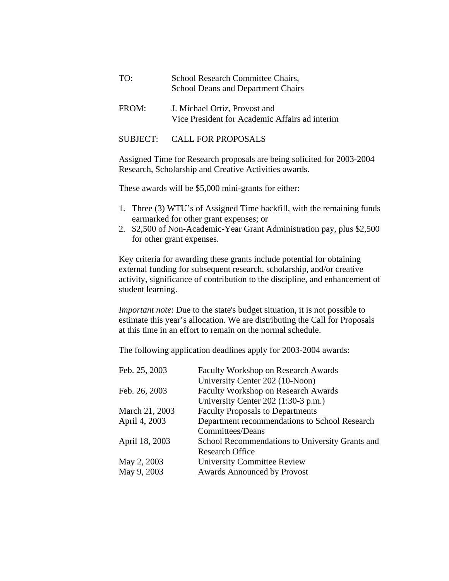| TO:   | School Research Committee Chairs,<br>School Deans and Department Chairs         |
|-------|---------------------------------------------------------------------------------|
| FROM: | J. Michael Ortiz, Provost and<br>Vice President for Academic Affairs ad interim |

## SUBJECT: CALL FOR PROPOSALS

Assigned Time for Research proposals are being solicited for 2003-2004 Research, Scholarship and Creative Activities awards.

These awards will be \$5,000 mini-grants for either:

- 1. Three (3) WTU's of Assigned Time backfill, with the remaining funds earmarked for other grant expenses; or
- 2. \$2,500 of Non-Academic-Year Grant Administration pay, plus \$2,500 for other grant expenses.

Key criteria for awarding these grants include potential for obtaining external funding for subsequent research, scholarship, and/or creative activity, significance of contribution to the discipline, and enhancement of student learning.

*Important note*: Due to the state's budget situation, it is not possible to estimate this year's allocation. We are distributing the Call for Proposals at this time in an effort to remain on the normal schedule.

The following application deadlines apply for 2003-2004 awards:

| Feb. 25, 2003  | <b>Faculty Workshop on Research Awards</b>      |
|----------------|-------------------------------------------------|
|                | University Center 202 (10-Noon)                 |
| Feb. 26, 2003  | <b>Faculty Workshop on Research Awards</b>      |
|                | University Center 202 (1:30-3 p.m.)             |
| March 21, 2003 | <b>Faculty Proposals to Departments</b>         |
| April 4, 2003  | Department recommendations to School Research   |
|                | Committees/Deans                                |
| April 18, 2003 | School Recommendations to University Grants and |
|                | <b>Research Office</b>                          |
| May 2, 2003    | <b>University Committee Review</b>              |
| May 9, 2003    | <b>Awards Announced by Provost</b>              |